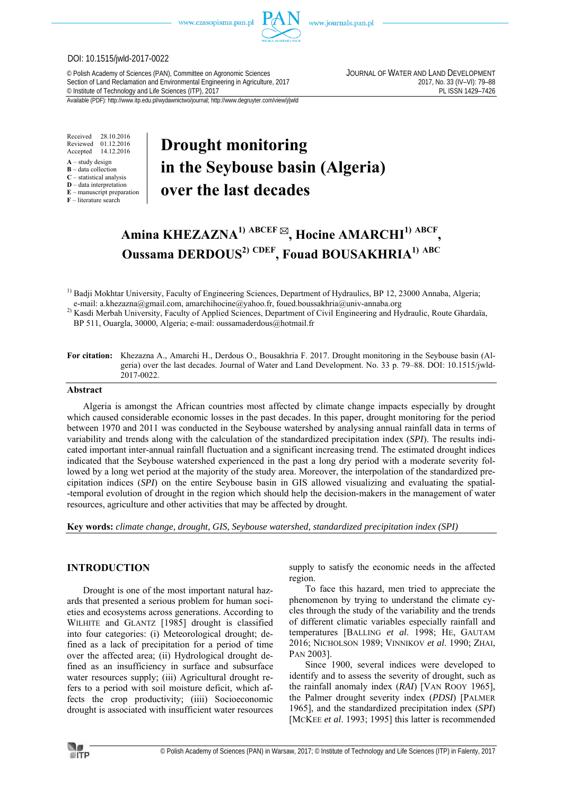

www.journals.pan.pl

## DOI: 10.1515/jwld-2017-0022

© Polish Academy of Sciences (PAN), Committee on Agronomic Sciences JOURNAL OF WATER AND LAND DEVELOPMENT Section of Land Reclamation and Environmental Engineering in Agriculture, 2017<br>
© Institute of Technology and Life Sciences (ITP), 2017<br>
PL ISSN 1429-7426 <sup>©</sup> Institute of Technology and Life Sciences (ITP), 2017

Available (PDF): http://www.itp.edu.pl/wydawnictwo/journal; http://www.degruyter.com/view/j/jwld

Received 28.10.2016 Reviewed 01.12.2016<br>Accepted 14.12.2016 14.12.2016

- **A** study design
- **B** data collection **C** – statistical analysis
- **D** data interpretation
- **E** manuscript preparation
- **F** literature search

# **Drought monitoring in the Seybouse basin (Algeria) over the last decades**

# **Amina KHEZAZNA1) ABCEF , Hocine AMARCHI1) ABCF , Oussama DERDOUS2) CDEF, Fouad BOUSAKHRIA1) ABC**

<sup>1)</sup> Badji Mokhtar University, Faculty of Engineering Sciences, Department of Hydraulics, BP 12, 23000 Annaba, Algeria; e-mail: a.khezazna@gmail.com, amarchihocine@yahoo.fr, foued.boussakhria@univ-annaba.org

<sup>2)</sup> Kasdi Merbah University, Faculty of Applied Sciences, Department of Civil Engineering and Hydraulic, Route Ghardaïa, BP 511, Ouargla, 30000, Algeria; e-mail: oussamaderdous@hotmail.fr

**For citation:** Khezazna A., Amarchi H., Derdous O., Bousakhria F. 2017. Drought monitoring in the Seybouse basin (Algeria) over the last decades. Journal of Water and Land Development. No. 33 p. 79–88. DOI: 10.1515/jwld-2017-0022.

#### **Abstract**

Algeria is amongst the African countries most affected by climate change impacts especially by drought which caused considerable economic losses in the past decades. In this paper, drought monitoring for the period between 1970 and 2011 was conducted in the Seybouse watershed by analysing annual rainfall data in terms of variability and trends along with the calculation of the standardized precipitation index (*SPI*). The results indicated important inter-annual rainfall fluctuation and a significant increasing trend. The estimated drought indices indicated that the Seybouse watershed experienced in the past a long dry period with a moderate severity followed by a long wet period at the majority of the study area. Moreover, the interpolation of the standardized precipitation indices (*SPI*) on the entire Seybouse basin in GIS allowed visualizing and evaluating the spatial- -temporal evolution of drought in the region which should help the decision-makers in the management of water resources, agriculture and other activities that may be affected by drought.

**Key words:** *climate change, drought, GIS, Seybouse watershed, standardized precipitation index (SPI)* 

## **INTRODUCTION**

Drought is one of the most important natural hazards that presented a serious problem for human societies and ecosystems across generations. According to WILHITE and GLANTZ [1985] drought is classified into four categories: (i) Meteorological drought; defined as a lack of precipitation for a period of time over the affected area; (ii) Hydrological drought defined as an insufficiency in surface and subsurface water resources supply; (iii) Agricultural drought refers to a period with soil moisture deficit, which affects the crop productivity; (iiii) Socioeconomic drought is associated with insufficient water resources supply to satisfy the economic needs in the affected region.

To face this hazard, men tried to appreciate the phenomenon by trying to understand the climate cycles through the study of the variability and the trends of different climatic variables especially rainfall and temperatures [BALLING *et al*. 1998; HE, GAUTAM 2016; NICHOLSON 1989; VINNIKOV *et al*. 1990; ZHAI, PAN 2003].

Since 1900, several indices were developed to identify and to assess the severity of drought, such as the rainfall anomaly index (*RAI*) [VAN ROOY 1965], the Palmer drought severity index (*PDSI*) [PALMER 1965], and the standardized precipitation index (*SPI*) [MCKEE *et al.* 1993; 1995] this latter is recommended

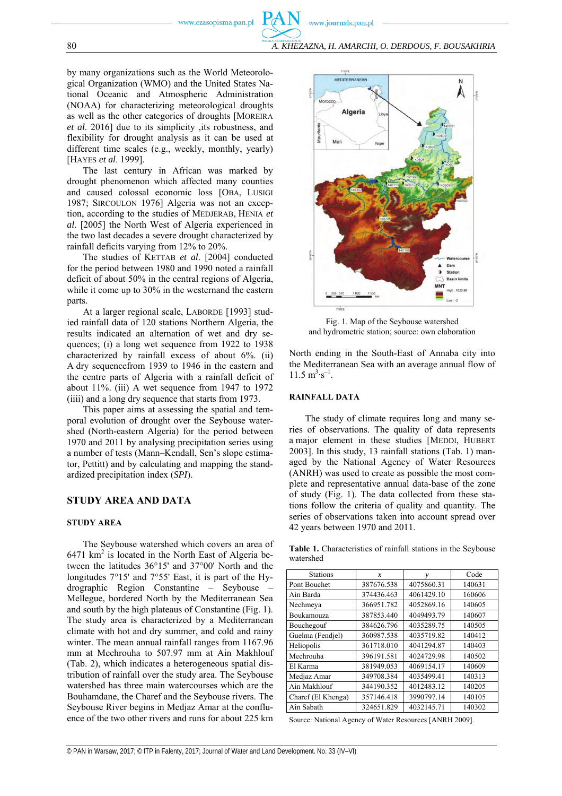www.journals.pan.pl

by many organizations such as the World Meteorological Organization (WMO) and the United States National Oceanic and Atmospheric Administration (NOAA) for characterizing meteorological droughts as well as the other categories of droughts [MOREIRA *et al*. 2016] due to its simplicity ,its robustness, and flexibility for drought analysis as it can be used at different time scales (e.g., weekly, monthly, yearly) [HAYES *et al*. 1999].

The last century in African was marked by drought phenomenon which affected many counties and caused colossal economic loss [OBA, LUSIGI 1987; SIRCOULON 1976] Algeria was not an exception, according to the studies of MEDJERAB, HENIA *et al*. [2005] the North West of Algeria experienced in the two last decades a severe drought characterized by rainfall deficits varying from 12% to 20%.

The studies of KETTAB *et al*. [2004] conducted for the period between 1980 and 1990 noted a rainfall deficit of about 50% in the central regions of Algeria, while it come up to 30% in the westernand the eastern parts.

At a larger regional scale, LABORDE [1993] studied rainfall data of 120 stations Northern Algeria, the results indicated an alternation of wet and dry sequences; (i) a long wet sequence from 1922 to 1938 characterized by rainfall excess of about 6%. (ii) A dry sequencefrom 1939 to 1946 in the eastern and the centre parts of Algeria with a rainfall deficit of about 11%. (iii) A wet sequence from 1947 to 1972 (iiii) and a long dry sequence that starts from 1973.

This paper aims at assessing the spatial and temporal evolution of drought over the Seybouse watershed (North-eastern Algeria) for the period between 1970 and 2011 by analysing precipitation series using a number of tests (Mann–Kendall, Sen's slope estimator, Pettitt) and by calculating and mapping the standardized precipitation index (*SPI*).

## **STUDY AREA AND DATA**

#### **STUDY AREA**

The Seybouse watershed which covers an area of 6471  $km^2$  is located in the North East of Algeria between the latitudes 36°15' and 37°00' North and the longitudes 7°15' and 7°55' East, it is part of the Hydrographic Region Constantine – Seybouse – Mellegue, bordered North by the Mediterranean Sea and south by the high plateaus of Constantine (Fig. 1). The study area is characterized by a Mediterranean climate with hot and dry summer, and cold and rainy winter. The mean annual rainfall ranges from 1167.96 mm at Mechrouha to 507.97 mm at Ain Makhlouf (Tab. 2), which indicates a heterogeneous spatial distribution of rainfall over the study area. The Seybouse watershed has three main watercourses which are the Bouhamdane, the Charef and the Seybouse rivers. The Seybouse River begins in Medjaz Amar at the confluence of the two other rivers and runs for about 225 km



Fig. 1. Map of the Seybouse watershed and hydrometric station; source: own elaboration

North ending in the South-East of Annaba city into the Mediterranean Sea with an average annual flow of  $11.5 \text{ m}^3 \text{·s}^{-1}$ .

#### **RAINFALL DATA**

The study of climate requires long and many series of observations. The quality of data represents a major element in these studies [MEDDI, HUBERT 2003]. In this study, 13 rainfall stations (Tab. 1) managed by the National Agency of Water Resources (ANRH) was used to create as possible the most complete and representative annual data-base of the zone of study (Fig. 1). The data collected from these stations follow the criteria of quality and quantity. The series of observations taken into account spread over 42 years between 1970 and 2011.

**Table 1.** Characteristics of rainfall stations in the Seybouse watershed

| <b>Stations</b>    | $\boldsymbol{x}$ | $\mathcal V$ | Code   |  |  |
|--------------------|------------------|--------------|--------|--|--|
| Pont Bouchet       | 387676.538       | 4075860.31   | 140631 |  |  |
| Ain Barda          | 374436.463       | 4061429.10   | 160606 |  |  |
| Nechmeya           | 366951.782       | 4052869.16   | 140605 |  |  |
| <b>Boukamouza</b>  | 387853.440       | 4049493.79   | 140607 |  |  |
| Bouchegouf         | 384626.796       | 4035289.75   | 140505 |  |  |
| Guelma (Fendjel)   | 360987.538       | 4035719.82   | 140412 |  |  |
| Heliopolis         | 361718.010       | 4041294.87   | 140403 |  |  |
| Mechrouha          | 396191.581       | 4024729.98   | 140502 |  |  |
| El Karma           | 381949.053       | 4069154.17   | 140609 |  |  |
| Medjaz Amar        | 349708.384       | 4035499.41   | 140313 |  |  |
| Ain Makhlouf       | 344190.352       | 4012483.12   | 140205 |  |  |
| Charef (El Khenga) | 357146.418       | 3990797.14   | 140105 |  |  |
| Ain Sabath         | 324651.829       | 4032145.71   | 140302 |  |  |

Source: National Agency of Water Resources [ANRH 2009].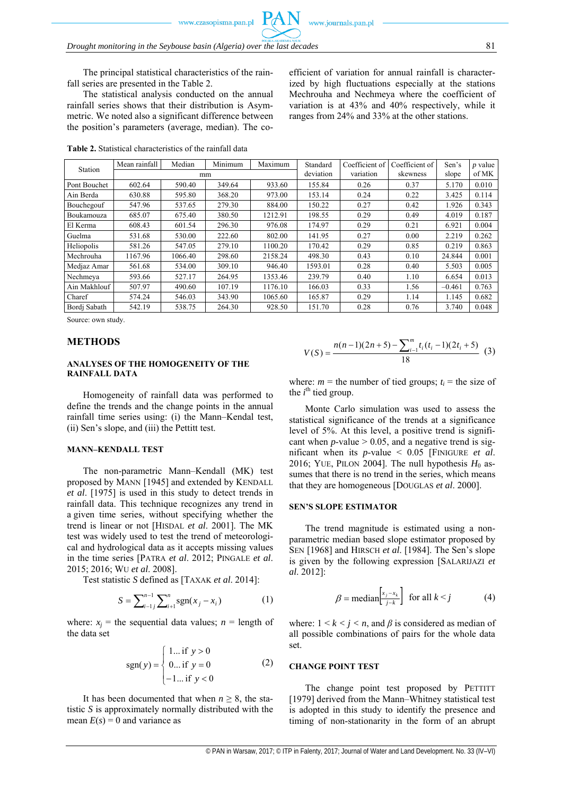efficient of variation for annual rainfall is characterized by high fluctuations especially at the stations Mechrouha and Nechmeya where the coefficient of variation is at 43% and 40% respectively, while it ranges from 24% and 33% at the other stations.

The principal statistical characteristics of the rainfall series are presented in the Table 2.

The statistical analysis conducted on the annual rainfall series shows that their distribution is Asymmetric. We noted also a significant difference between the position's parameters (average, median). The co-

**Table 2.** Statistical characteristics of the rainfall data

| <b>Station</b> | Mean rainfall | Median  | Minimum<br>Maximum |           | Standard  | Coefficient of | Coefficient of | Sen's    | $p$ value |
|----------------|---------------|---------|--------------------|-----------|-----------|----------------|----------------|----------|-----------|
|                |               |         | mm                 | deviation | variation | skewness       | slope          | of MK    |           |
| Pont Bouchet   | 602.64        | 590.40  | 349.64             | 933.60    | 155.84    | 0.26           | 0.37           | 5.170    | 0.010     |
| Ain Berda      | 630.88        | 595.80  | 368.20             | 973.00    | 153.14    | 0.24           | 0.22           | 3.425    | 0.114     |
| Bouchegouf     | 547.96        | 537.65  | 279.30             | 884.00    | 150.22    | 0.27           | 0.42           | 1.926    | 0.343     |
| Boukamouza     | 685.07        | 675.40  | 380.50             | 1212.91   | 198.55    | 0.29           | 0.49           | 4.019    | 0.187     |
| El Kerma       | 608.43        | 601.54  | 296.30             | 976.08    | 174.97    | 0.29           | 0.21           | 6.921    | 0.004     |
| Guelma         | 531.68        | 530.00  | 222.60             | 802.00    | 141.95    | 0.27           | 0.00           | 2.219    | 0.262     |
| Heliopolis     | 581.26        | 547.05  | 279.10             | 1100.20   | 170.42    | 0.29           | 0.85           | 0.219    | 0.863     |
| Mechrouha      | 1167.96       | 1066.40 | 298.60             | 2158.24   | 498.30    | 0.43           | 0.10           | 24.844   | 0.001     |
| Medjaz Amar    | 561.68        | 534.00  | 309.10             | 946.40    | 1593.01   | 0.28           | 0.40           | 5.503    | 0.005     |
| Nechmeya       | 593.66        | 527.17  | 264.95             | 1353.46   | 239.79    | 0.40           | 1.10           | 6.654    | 0.013     |
| Ain Makhlouf   | 507.97        | 490.60  | 107.19             | 1176.10   | 166.03    | 0.33           | 1.56           | $-0.461$ | 0.763     |
| Charef         | 574.24        | 546.03  | 343.90             | 1065.60   | 165.87    | 0.29           | 1.14           | 1.145    | 0.682     |
| Bordi Sabath   | 542.19        | 538.75  | 264.30             | 928.50    | 151.70    | 0.28           | 0.76           | 3.740    | 0.048     |

Source: own study.

#### **METHODS**

#### **ANALYSES OF THE HOMOGENEITY OF THE RAINFALL DATA**

Homogeneity of rainfall data was performed to define the trends and the change points in the annual rainfall time series using: (i) the Mann–Kendal test, (ii) Sen's slope, and (iii) the Pettitt test.

#### **MANN–KENDALL TEST**

The non-parametric Mann–Kendall (MK) test proposed by MANN [1945] and extended by KENDALL *et al*. [1975] is used in this study to detect trends in rainfall data. This technique recognizes any trend in a given time series, without specifying whether the trend is linear or not [HISDAL *et al*. 2001]. The MK test was widely used to test the trend of meteorological and hydrological data as it accepts missing values in the time series [PATRA *et al*. 2012; PINGALE *et al*. 2015; 2016; WU *et al*. 2008].

Test statistic *S* defined as [TAXAK *et al*. 2014]:

$$
S = \sum_{i=1}^{n-1} \sum_{j=1}^{n} \text{sgn}(x_j - x_i)
$$
 (1)

where:  $x_i$  = the sequential data values;  $n$  = length of the data set

$$
sgn(y) = \begin{cases} 1... \text{ if } y > 0 \\ 0... \text{ if } y = 0 \\ -1... \text{ if } y < 0 \end{cases}
$$
 (2)

It has been documented that when  $n \geq 8$ , the statistic *S* is approximately normally distributed with the mean  $E(s) = 0$  and variance as

$$
V(S) = \frac{n(n-1)(2n+5) - \sum_{i=1}^{m} t_i(t_i-1)(2t_i+5)}{18}
$$
 (3)

where:  $m =$  the number of tied groups;  $t_i =$  the size of the  $i^{\text{th}}$  tied group.

Monte Carlo simulation was used to assess the statistical significance of the trends at a significance level of 5%. At this level, a positive trend is significant when  $p$ -value  $> 0.05$ , and a negative trend is significant when its *p*-value < 0.05 [FINIGURE *et al*. 2016; YUE, PILON 2004]. The null hypothesis  $H_0$  assumes that there is no trend in the series, which means that they are homogeneous [DOUGLAS *et al*. 2000].

### **SEN'S SLOPE ESTIMATOR**

The trend magnitude is estimated using a nonparametric median based slope estimator proposed by SEN [1968] and HIRSCH *et al*. [1984]. The Sen's slope is given by the following expression [SALARIJAZI *et al*. 2012]:

$$
\beta = \text{median}\left[\frac{x_j - x_k}{j - k}\right] \text{ for all } k < j \tag{4}
$$

where:  $1 \leq k \leq j \leq n$ , and  $\beta$  is considered as median of all possible combinations of pairs for the whole data set.

## **CHANGE POINT TEST**

The change point test proposed by PETTITT [1979] derived from the Mann–Whitney statistical test is adopted in this study to identify the presence and timing of non-stationarity in the form of an abrupt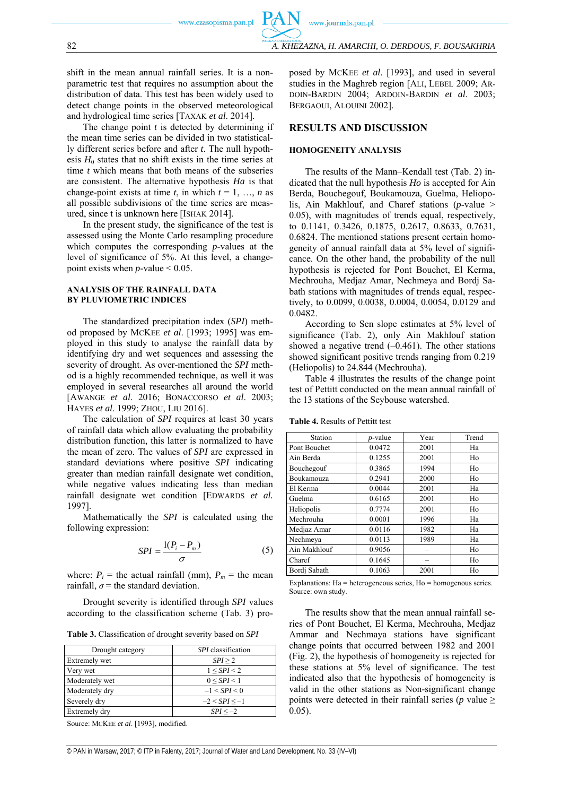shift in the mean annual rainfall series. It is a nonparametric test that requires no assumption about the distribution of data. This test has been widely used to detect change points in the observed meteorological and hydrological time series [TAXAK *et al*. 2014].

The change point *t* is detected by determining if the mean time series can be divided in two statistically different series before and after *t*. The null hypothesis  $H_0$  states that no shift exists in the time series at time *t* which means that both means of the subseries are consistent. The alternative hypothesis *Ha* is that change-point exists at time *t*, in which  $t = 1, ..., n$  as all possible subdivisions of the time series are measured, since t is unknown here [ISHAK 2014].

In the present study, the significance of the test is assessed using the Monte Carlo resampling procedure which computes the corresponding *p*-values at the level of significance of 5%. At this level, a changepoint exists when  $p$ -value < 0.05.

#### **ANALYSIS OF THE RAINFALL DATA BY PLUVIOMETRIC INDICES**

The standardized precipitation index (*SPI*) method proposed by MCKEE *et al*. [1993; 1995] was employed in this study to analyse the rainfall data by identifying dry and wet sequences and assessing the severity of drought. As over-mentioned the *SPI* method is a highly recommended technique, as well it was employed in several researches all around the world [AWANGE *et al*. 2016; BONACCORSO *et al*. 2003; HAYES *et al*. 1999; ZHOU, LIU 2016].

The calculation of *SPI* requires at least 30 years of rainfall data which allow evaluating the probability distribution function, this latter is normalized to have the mean of zero. The values of *SPI* are expressed in standard deviations where positive *SPI* indicating greater than median rainfall designate wet condition, while negative values indicating less than median rainfall designate wet condition [EDWARDS *et al.* 1997].

Mathematically the *SPI* is calculated using the following expression:

$$
SPI = \frac{1(P_i - P_m)}{\sigma} \tag{5}
$$

where:  $P_i$  = the actual rainfall (mm),  $P_m$  = the mean rainfall,  $\sigma$  = the standard deviation.

Drought severity is identified through *SPI* values according to the classification scheme (Tab. 3) pro-

**Table 3.** Classification of drought severity based on *SPI*

| Drought category     | <i>SPI</i> classification |
|----------------------|---------------------------|
| <b>Extremely wet</b> | SPI > 2                   |
| Very wet             | 1 < SPI < 2               |
| Moderately wet       | 0 < SPI < 1               |
| Moderately dry       | $-1 < SPI < 0$            |
| Severely dry         | $-2 < SPI < -1$           |
| Extremely dry        | $SPI < -2$                |

Source: MCKEE *et al*. [1993], modified.

posed by MCKEE *et al*. [1993], and used in several studies in the Maghreb region [ALI, LEBEL 2009; AR-

DOIN-BARDIN 2004; ARDOIN-BARDIN *et al*. 2003; BERGAOUI, ALOUINI 2002].

#### **RESULTS AND DISCUSSION**

#### **HOMOGENEITY ANALYSIS**

The results of the Mann–Kendall test (Tab. 2) indicated that the null hypothesis *Ho* is accepted for Ain Berda, Bouchegouf, Boukamouza, Guelma, Heliopolis, Ain Makhlouf, and Charef stations (*p*-value > 0.05), with magnitudes of trends equal, respectively, to 0.1141, 0.3426, 0.1875, 0.2617, 0.8633, 0.7631, 0.6824. The mentioned stations present certain homogeneity of annual rainfall data at 5% level of significance. On the other hand, the probability of the null hypothesis is rejected for Pont Bouchet, El Kerma, Mechrouha, Medjaz Amar, Nechmeya and Bordj Sabath stations with magnitudes of trends equal, respectively, to 0.0099, 0.0038, 0.0004, 0.0054, 0.0129 and 0.0482.

According to Sen slope estimates at 5% level of significance (Tab. 2), only Ain Makhlouf station showed a negative trend  $(-0.461)$ . The other stations showed significant positive trends ranging from 0.219 (Heliopolis) to 24.844 (Mechrouha).

Table 4 illustrates the results of the change point test of Pettitt conducted on the mean annual rainfall of the 13 stations of the Seybouse watershed.

| Station      | $p$ -value | Year | Trend |  |
|--------------|------------|------|-------|--|
| Pont Bouchet | 0.0472     | 2001 | Ha    |  |
| Ain Berda    | 0.1255     | 2001 | Ho    |  |
| Bouchegouf   | 0.3865     | 1994 | Ho    |  |
| Boukamouza   | 0.2941     | 2000 | Ho    |  |
| El Kerma     | 0.0044     | 2001 | Ha    |  |
| Guelma       | 0.6165     | 2001 | Ho    |  |
| Heliopolis   | 0.7774     | 2001 | Ho    |  |
| Mechrouha    | 0.0001     | 1996 | Ha    |  |
| Medjaz Amar  | 0.0116     | 1982 | Ha    |  |
| Nechmeya     | 0.0113     | 1989 | Ha    |  |
| Ain Makhlouf | 0.9056     |      | Ho    |  |
| Charef       | 0.1645     |      | Ho    |  |
| Bordi Sabath | 0.1063     | 2001 | Ho    |  |

**Table 4.** Results of Pettitt test

Explanations: Ha = heterogeneous series, Ho = homogenous series. Source: own study.

The results show that the mean annual rainfall series of Pont Bouchet, El Kerma, Mechrouha, Medjaz Ammar and Nechmaya stations have significant change points that occurred between 1982 and 2001 (Fig. 2), the hypothesis of homogeneity is rejected for these stations at 5% level of significance. The test indicated also that the hypothesis of homogeneity is valid in the other stations as Non-significant change points were detected in their rainfall series ( $p$  value  $\geq$ 0.05).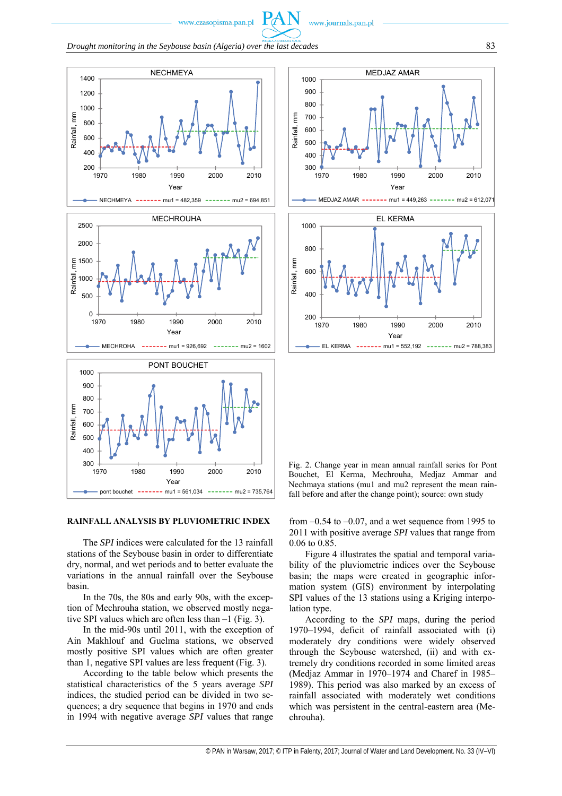www.journals.pan.pl

*Drought monitoring in the Seybouse basin (Algeria) over the last decades* 83



#### **RAINFALL ANALYSIS BY PLUVIOMETRIC INDEX**

The *SPI* indices were calculated for the 13 rainfall stations of the Seybouse basin in order to differentiate dry, normal, and wet periods and to better evaluate the variations in the annual rainfall over the Seybouse basin.

In the 70s, the 80s and early 90s, with the exception of Mechrouha station, we observed mostly negative SPI values which are often less than –1 (Fig. 3).

In the mid-90s until 2011, with the exception of Ain Makhlouf and Guelma stations, we observed mostly positive SPI values which are often greater than 1, negative SPI values are less frequent (Fig. 3).

According to the table below which presents the statistical characteristics of the 5 years average *SPI* indices, the studied period can be divided in two sequences; a dry sequence that begins in 1970 and ends in 1994 with negative average *SPI* values that range



MEDJAZ AMAR ------ mu1 = 449,263 ------ mu2 = 612,071



Fig. 2. Change year in mean annual rainfall series for Pont Bouchet, El Kerma, Mechrouha, Medjaz Ammar and Nechmaya stations (mu1 and mu2 represent the mean rainfall before and after the change point); source: own study

from  $-0.54$  to  $-0.07$ , and a wet sequence from 1995 to 2011 with positive average *SPI* values that range from 0.06 to 0.85.

Figure 4 illustrates the spatial and temporal variability of the pluviometric indices over the Seybouse basin; the maps were created in geographic information system (GIS) environment by interpolating SPI values of the 13 stations using a Kriging interpolation type.

According to the *SPI* maps, during the period 1970–1994, deficit of rainfall associated with (i) moderately dry conditions were widely observed through the Seybouse watershed, (ii) and with extremely dry conditions recorded in some limited areas (Medjaz Ammar in 1970–1974 and Charef in 1985– 1989). This period was also marked by an excess of rainfall associated with moderately wet conditions which was persistent in the central-eastern area (Mechrouha).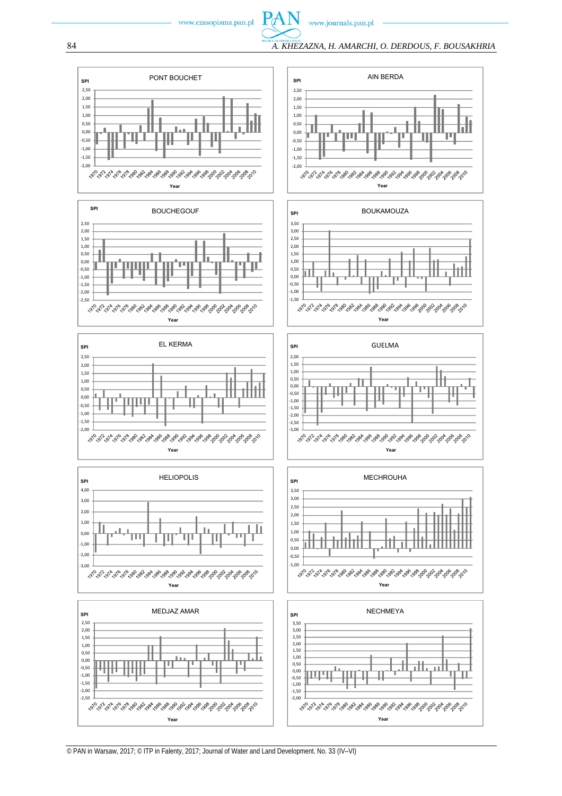

www.journals.pan.pl

**PAN** 



















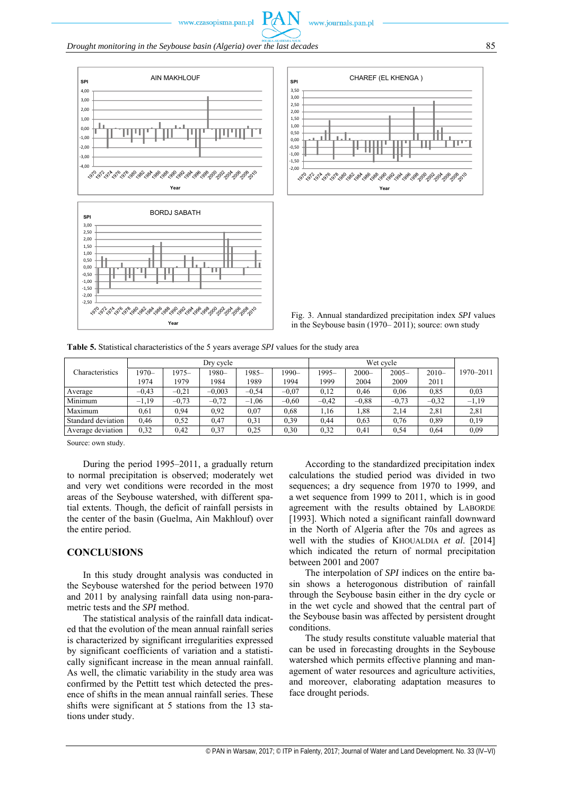





Fig. 3. Annual standardized precipitation index *SPI* values in the Seybouse basin (1970– 2011); source: own study

**Table 5.** Statistical characteristics of the 5 years average *SPI* values for the study area

|                    | Dry cycle |         |          |         | Wet cycle |         |          |          |         |           |
|--------------------|-----------|---------|----------|---------|-----------|---------|----------|----------|---------|-----------|
| Characteristics    | $1970-$   | $1975-$ | 1980-    | $1985-$ | 1990–     | 1995-   | $2000 -$ | $2005 -$ | $2010-$ | 1970-2011 |
|                    | 1974      | 1979    | 1984     | 1989    | 1994      | 1999    | 2004     | 2009     | 2011    |           |
| Average            | $-0.43$   | $-0.21$ | $-0.003$ | $-0.54$ | $-0.07$   | 0,12    | 0,46     | 0.06     | 0,85    | 0.03      |
| Minimum            | $-1.19$   | $-0.73$ | $-0.72$  | $-1.06$ | $-0.60$   | $-0.42$ | $-0.88$  | $-0.73$  | $-0.32$ | $-1,19$   |
| Maximum            | 0.61      | 0.94    | 0,92     | 0.07    | 0.68      | l.16    | 1,88     | 2,14     | 2,81    | 2,81      |
| Standard deviation | 0.46      | 0,52    | 0,47     | 0,31    | 0.39      | 0.44    | 0.63     | 0,76     | 0,89    | 0,19      |
| Average deviation  | 0,32      | 0.42    | 0,37     | 0,25    | 0,30      | 0.32    | 0,41     | 0,54     | 0,64    | 0,09      |

Source: own study.

During the period 1995–2011, a gradually return to normal precipitation is observed; moderately wet and very wet conditions were recorded in the most areas of the Seybouse watershed, with different spatial extents. Though, the deficit of rainfall persists in the center of the basin (Guelma, Ain Makhlouf) over the entire period.

## **CONCLUSIONS**

In this study drought analysis was conducted in the Seybouse watershed for the period between 1970 and 2011 by analysing rainfall data using non-parametric tests and the *SPI* method.

The statistical analysis of the rainfall data indicated that the evolution of the mean annual rainfall series is characterized by significant irregularities expressed by significant coefficients of variation and a statistically significant increase in the mean annual rainfall. As well, the climatic variability in the study area was confirmed by the Pettitt test which detected the presence of shifts in the mean annual rainfall series. These shifts were significant at 5 stations from the 13 stations under study.

According to the standardized precipitation index calculations the studied period was divided in two sequences; a dry sequence from 1970 to 1999, and a wet sequence from 1999 to 2011, which is in good agreement with the results obtained by LABORDE [1993]. Which noted a significant rainfall downward in the North of Algeria after the 70s and agrees as well with the studies of KHOUALDIA *et al*. [2014] which indicated the return of normal precipitation between 2001 and 2007

The interpolation of *SPI* indices on the entire basin shows a heterogonous distribution of rainfall through the Seybouse basin either in the dry cycle or in the wet cycle and showed that the central part of the Seybouse basin was affected by persistent drought conditions.

The study results constitute valuable material that can be used in forecasting droughts in the Seybouse watershed which permits effective planning and management of water resources and agriculture activities, and moreover, elaborating adaptation measures to face drought periods.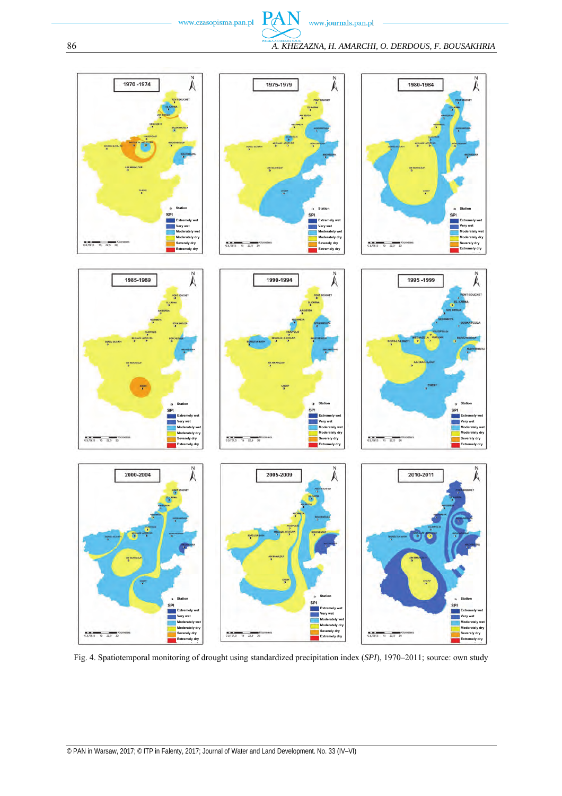www.journals.pan.pl

 $\overline{N}$ 

PAN

86 *A. KHEZAZNA, H. AMARCHI, O. DERDOUS, F. BOUSAKHRIA*



Fig. 4. Spatiotemporal monitoring of drought using standardized precipitation index (*SPI*), 1970–2011; source: own study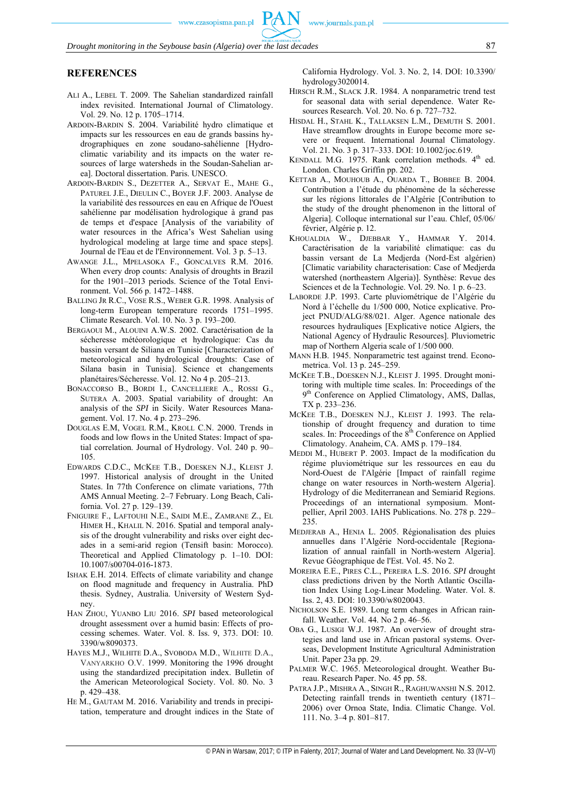#### **REFERENCES**

- ALI A., LEBEL T. 2009. The Sahelian standardized rainfall index revisited. International Journal of Climatology. Vol. 29. No. 12 p. 1705–1714.
- ARDOIN-BARDIN S. 2004. Variabilité hydro climatique et impacts sur les ressources en eau de grands bassins hydrographiques en zone soudano-sahélienne [Hydroclimatic variability and its impacts on the water resources of large watersheds in the Soudan-Sahelian area]. Doctoral dissertation. Paris. UNESCO.
- ARDOIN-BARDIN S., DEZETTER A., SERVAT E., MAHE G., PATUREL J.E., DIEULIN C., BOYER J.F. 2003. Analyse de la variabilité des ressources en eau en Afrique de l'Ouest sahélienne par modélisation hydrologique à grand pas de temps et d'espace [Analysis of the variability of water resources in the Africa's West Sahelian using hydrological modeling at large time and space steps]. Journal de l'Eau et de l'Environnement. Vol. 3 p. 5–13.
- AWANGE J.L., MPELASOKA F., GONCALVES R.M. 2016. When every drop counts: Analysis of droughts in Brazil for the 1901–2013 periods. Science of the Total Environment. Vol. 566 p. 1472–1488.
- BALLING JR R.C., VOSE R.S., WEBER G.R. 1998. Analysis of long-term European temperature records 1751–1995. Climate Research. Vol. 10. No. 3 p. 193–200.
- BERGAOUI M., ALOUINI A.W.S. 2002. Caractérisation de la sécheresse météorologique et hydrologique: Cas du bassin versant de Siliana en Tunisie [Characterization of meteorological and hydrological droughts: Case of Silana basin in Tunisia]. Science et changements planétaires/Sécheresse. Vol. 12. No 4 p. 205–213.
- BONACCORSO B., BORDI I., CANCELLIERE A., ROSSI G., SUTERA A. 2003. Spatial variability of drought: An analysis of the *SPI* in Sicily. Water Resources Management. Vol. 17. No. 4 p. 273–296.
- DOUGLAS E.M, VOGEL R.M., KROLL C.N. 2000. Trends in foods and low flows in the United States: Impact of spatial correlation. Journal of Hydrology. Vol. 240 p. 90– 105.
- EDWARDS C.D.C., MCKEE T.B., DOESKEN N.J., KLEIST J. 1997. Historical analysis of drought in the United States. In 77th Conference on climate variations, 77th AMS Annual Meeting. 2–7 February. Long Beach, California. Vol. 27 p. 129–139.
- FNIGUIRE F., LAFTOUHI N.E., SAIDI M.E., ZAMRANE Z., EL HIMER H., KHALIL N. 2016. Spatial and temporal analysis of the drought vulnerability and risks over eight decades in a semi-arid region (Tensift basin: Morocco). Theoretical and Applied Climatology p. 1–10. DOI: 10.1007/s00704-016-1873.
- ISHAK E.H. 2014. Effects of climate variability and change on flood magnitude and frequency in Australia. PhD thesis. Sydney, Australia. University of Western Sydney.
- HAN ZHOU, YUANBO LIU 2016. *SPI* based meteorological drought assessment over a humid basin: Effects of processing schemes. Water. Vol. 8. Iss. 9, 373. DOI: 10. 3390/w8090373.
- HAYES M.J., WILHITE D.A., SVOBODA M.D., WILHITE D.A., VANYARKHO O.V. 1999. Monitoring the 1996 drought using the standardized precipitation index. Bulletin of the American Meteorological Society. Vol. 80. No. 3 p. 429–438.
- HE M., GAUTAM M. 2016. Variability and trends in precipitation, temperature and drought indices in the State of

California Hydrology. Vol. 3. No. 2, 14. DOI: 10.3390/ hydrology3020014.

- HIRSCH R.M., SLACK J.R. 1984. A nonparametric trend test for seasonal data with serial dependence. Water Resources Research. Vol. 20. No. 6 p. 727–732.
- HISDAL H., STAHL K., TALLAKSEN L.M., DEMUTH S. 2001. Have streamflow droughts in Europe become more severe or frequent. International Journal Climatology. Vol. 21. No. 3 p. 317–333. DOI: 10.1002/joc.619.
- KENDALL M.G. 1975. Rank correlation methods. 4<sup>th</sup> ed. London. Charles Griffin pp. 202.
- KETTAB A., MOUHOUB A., OUARDA T., BOBBEE B. 2004. Contribution a l'étude du phénomène de la sécheresse sur les régions littorales de l'Algérie [Contribution to the study of the drought phenomenon in the littoral of Algeria]. Colloque international sur l'eau. Chlef, 05/06/ février, Algérie p. 12.
- KHOUALDIA W., DJEBBAR Y., HAMMAR Y. 2014. Caractérisation de la variabilité climatique: cas du bassin versant de La Medjerda (Nord-Est algérien) [Climatic variability characterisation: Case of Medjerda watershed (northeastern Algeria)]. Synthèse: Revue des Sciences et de la Technologie. Vol. 29. No. 1 p. 6–23.
- LABORDE J.P. 1993. Carte pluviométrique de l'Algérie du Nord à l'échelle du 1/500 000, Notice explicative. Project PNUD/ALG/88/021. Alger. Agence nationale des resources hydrauliques [Explicative notice Algiers, the National Agency of Hydraulic Resources]. Pluviometric map of Northern Algeria scale of 1/500 000.
- MANN H.B. 1945. Nonparametric test against trend. Econometrica. Vol. 13 p. 245–259.
- MCKEE T.B., DOESKEN N.J., KLEIST J. 1995. Drought monitoring with multiple time scales. In: Proceedings of the 9<sup>th</sup> Conference on Applied Climatology, AMS, Dallas, TX p. 233–236.
- MCKEE T.B., DOESKEN N.J., KLEIST J. 1993. The relationship of drought frequency and duration to time scales. In: Proceedings of the 8<sup>th</sup> Conference on Applied Climatology. Anaheim, CA. AMS p. 179–184.
- MEDDI M., HUBERT P. 2003. Impact de la modification du régime pluviométrique sur les ressources en eau du Nord-Ouest de l'Algérie [Impact of rainfall regime change on water resources in North-western Algeria]. Hydrology of die Mediterranean and Semiarid Regions. Proceedings of an international symposium. Montpellier, April 2003. IAHS Publications. No. 278 p. 229– 235.
- MEDJERAB A., HENIA L. 2005. Régionalisation des pluies annuelles dans l'Algérie Nord-occidentale [Regionalization of annual rainfall in North-western Algeria]. Revue Géographique de l'Est. Vol. 45. No 2.
- MOREIRA E.E., PIRES C.L., PEREIRA L.S. 2016. *SPI* drought class predictions driven by the North Atlantic Oscillation Index Using Log-Linear Modeling. Water. Vol. 8. Iss. 2, 43. DOI: 10.3390/w8020043.
- NICHOLSON S.E. 1989. Long term changes in African rainfall. Weather. Vol. 44. No 2 p. 46–56.
- OBA G., LUSIGI W.J. 1987. An overview of drought strategies and land use in African pastoral systems. Overseas, Development Institute Agricultural Administration Unit. Paper 23a pp. 29.
- PALMER W.C. 1965. Meteorological drought. Weather Bureau. Research Paper. No. 45 pp. 58.
- PATRA J.P., MISHRA A., SINGH R., RAGHUWANSHI N.S. 2012. Detecting rainfall trends in twentieth century (1871– 2006) over Ornoa State, India. Climatic Change. Vol. 111. No. 3–4 p. 801–817.